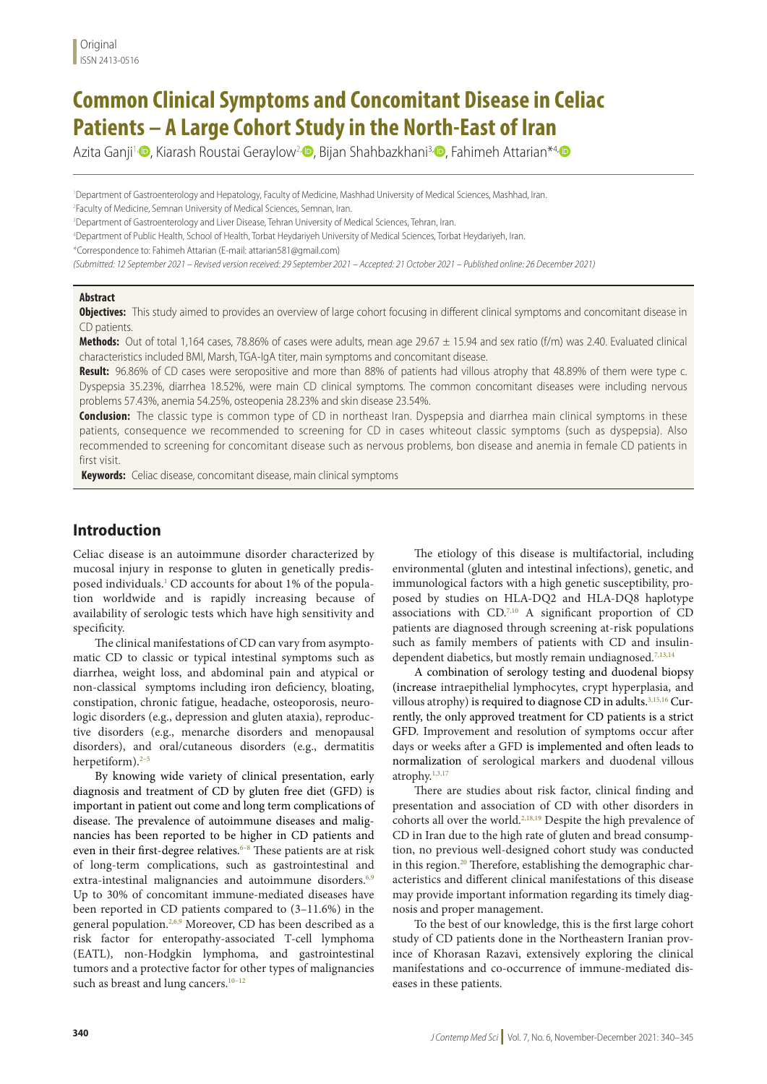# **Common Clinical Symptoms and Concomitant Disease in Celiac Patients – A Large Cohort Study in the North-East of Iran**

Azita Ganji<sup>1</sup>[,](http://orcid.org/0000-0002-8161-6629) [,](http://orcid.org/0000-0001-8484-7548) Kiarash Roustai Geraylow<sup>2</sup>, , Bijan Shahbazkhani<sup>3,</sup> , Fahimeh Attarian<sup>\*4</sup>

<sup>1</sup>Department of Gastroenterology and Hepatology, Faculty of Medicine, Mashhad University of Medical Sciences, Mashhad, Iran.

2 Faculty of Medicine, Semnan University of Medical Sciences, Semnan, Iran.

3 Department of Gastroenterology and Liver Disease, Tehran University of Medical Sciences, Tehran, Iran.

4 Department of Public Health, School of Health, Torbat Heydariyeh University of Medical Sciences, Torbat Heydariyeh, Iran.

\*Correspondence to: Fahimeh Attarian (E-mail: attarian581@gmail.com)

*(Submitted: 12 September 2021 – Revised version received: 29 September 2021 – Accepted: 21 October 2021 – Published online: 26 December 2021)*

#### **Abstract**

**Objectives:** This study aimed to provides an overview of large cohort focusing in different clinical symptoms and concomitant disease in CD patients.

**Methods:** Out of total 1,164 cases, 78.86% of cases were adults, mean age 29.67 ± 15.94 and sex ratio (f/m) was 2.40. Evaluated clinical characteristics included BMI, Marsh, TGA-IgA titer, main symptoms and concomitant disease.

**Result:** 96.86% of CD cases were seropositive and more than 88% of patients had villous atrophy that 48.89% of them were type c. Dyspepsia 35.23%, diarrhea 18.52%, were main CD clinical symptoms. The common concomitant diseases were including nervous problems 57.43%, anemia 54.25%, osteopenia 28.23% and skin disease 23.54%.

**Conclusion:** The classic type is common type of CD in northeast Iran. Dyspepsia and diarrhea main clinical symptoms in these patients, consequence we recommended to screening for CD in cases whiteout classic symptoms (such as dyspepsia). Also recommended to screening for concomitant disease such as nervous problems, bon disease and anemia in female CD patients in first visit.

 **Keywords:** Celiac disease, concomitant disease, main clinical symptoms

### **Introduction**

Celiac disease is an autoimmune disorder characterized by mucosal injury in response to gluten in genetically predisposed individuals.<sup>1</sup> CD accounts for about 1% of the population worldwide and is rapidly increasing because of availability of serologic tests which have high sensitivity and specificity.

The clinical manifestations of CD can vary from asymptomatic CD to classic or typical intestinal symptoms such as diarrhea, weight loss, and abdominal pain and atypical or non-classical symptoms including iron deficiency, bloating, constipation, chronic fatigue, headache, osteoporosis, neurologic disorders (e.g., depression and gluten ataxia), reproductive disorders (e.g., menarche disorders and menopausal disorders), and oral/cutaneous disorders (e.g., dermatitis herpetiform). $2-5$ 

By knowing wide variety of clinical presentation, early diagnosis and treatment of CD by gluten free diet (GFD) is important in patient out come and long term complications of disease. The prevalence of autoimmune diseases and malignancies has been reported to be higher in CD patients and even in their first-degree relatives.<sup>6-8</sup> These patients are at risk of long-term complications, such as gastrointestinal and extra-intestinal malignancies and autoimmune disorders.<sup>6,9</sup> Up to 30% of concomitant immune-mediated diseases have been reported in CD patients compared to (3–11.6%) in the general population.<sup>2,6,9</sup> Moreover, CD has been described as a risk factor for enteropathy-associated T-cell lymphoma (EATL), non-Hodgkin lymphoma, and gastrointestinal tumors and a protective factor for other types of malignancies such as breast and lung cancers.<sup>10-12</sup>

The etiology of this disease is multifactorial, including environmental (gluten and intestinal infections), genetic, and immunological factors with a high genetic susceptibility, proposed by studies on HLA-DQ2 and HLA-DQ8 haplotype associations with  $CD<sup>7,10</sup>$  A significant proportion of CD patients are diagnosed through screening at-risk populations such as family members of patients with CD and insulindependent diabetics, but mostly remain undiagnosed.<sup>7,13,14</sup>

A combination of serology testing and duodenal biopsy (increase intraepithelial lymphocytes, crypt hyperplasia, and villous atrophy) is required to diagnose CD in adults.<sup>3,15,16</sup> Currently, the only approved treatment for CD patients is a strict GFD. Improvement and resolution of symptoms occur after days or weeks after a GFD is implemented and often leads to normalization of serological markers and duodenal villous atrophy. $1,3,17$ 

There are studies about risk factor, clinical finding and presentation and association of CD with other disorders in cohorts all over the world.2,18,19 Despite the high prevalence of CD in Iran due to the high rate of gluten and bread consumption, no previous well-designed cohort study was conducted in this region.<sup>20</sup> Therefore, establishing the demographic characteristics and different clinical manifestations of this disease may provide important information regarding its timely diagnosis and proper management.

To the best of our knowledge, this is the first large cohort study of CD patients done in the Northeastern Iranian province of Khorasan Razavi, extensively exploring the clinical manifestations and co-occurrence of immune-mediated diseases in these patients.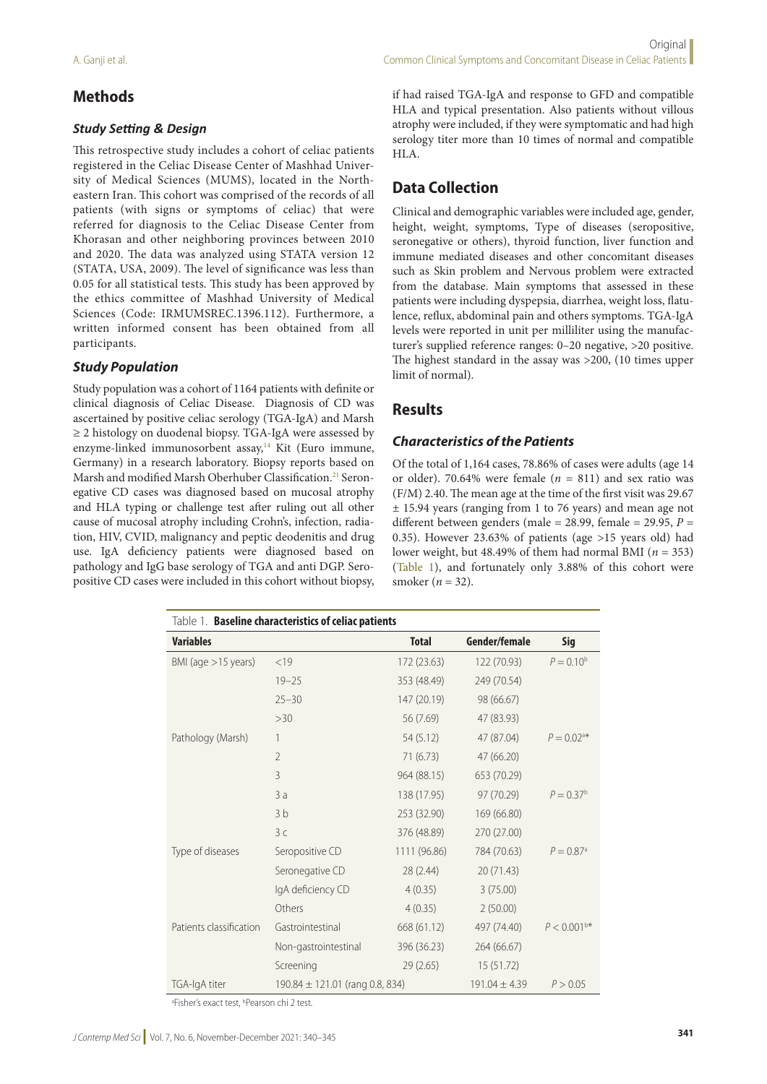### **Methods**

#### *Study Setting & Design*

This retrospective study includes a cohort of celiac patients registered in the Celiac Disease Center of Mashhad University of Medical Sciences (MUMS), located in the Northeastern Iran. This cohort was comprised of the records of all patients (with signs or symptoms of celiac) that were referred for diagnosis to the Celiac Disease Center from Khorasan and other neighboring provinces between 2010 and 2020. The data was analyzed using STATA version 12 (STATA, USA, 2009). The level of significance was less than 0.05 for all statistical tests. This study has been approved by the ethics committee of Mashhad University of Medical Sciences (Code: IRMUMSREC.1396.112). Furthermore, a written informed consent has been obtained from all participants.

#### *Study Population*

Study population was a cohort of 1164 patients with definite or clinical diagnosis of Celiac Disease. Diagnosis of CD was ascertained by positive celiac serology (TGA-IgA) and Marsh ≥ 2 histology on duodenal biopsy. TGA-IgA were assessed by enzyme-linked immunosorbent assay,<sup>14</sup> Kit (Euro immune, Germany) in a research laboratory. Biopsy reports based on Marsh and modified Marsh Oberhuber Classification.<sup>21</sup> Seronegative CD cases was diagnosed based on mucosal atrophy and HLA typing or challenge test after ruling out all other cause of mucosal atrophy including Crohn's, infection, radiation, HIV, CVID, malignancy and peptic deodenitis and drug use. IgA deficiency patients were diagnosed based on pathology and IgG base serology of TGA and anti DGP. Seropositive CD cases were included in this cohort without biopsy, if had raised TGA-IgA and response to GFD and compatible HLA and typical presentation. Also patients without villous atrophy were included, if they were symptomatic and had high serology titer more than 10 times of normal and compatible HLA.

# **Data Collection**

Clinical and demographic variables were included age, gender, height, weight, symptoms, Type of diseases (seropositive, seronegative or others), thyroid function, liver function and immune mediated diseases and other concomitant diseases such as Skin problem and Nervous problem were extracted from the database. Main symptoms that assessed in these patients were including dyspepsia, diarrhea, weight loss, flatulence, reflux, abdominal pain and others symptoms. TGA-IgA levels were reported in unit per milliliter using the manufacturer's supplied reference ranges: 0–20 negative, >20 positive. The highest standard in the assay was >200, (10 times upper limit of normal).

### **Results**

#### *Characteristics of the Patients*

Of the total of 1,164 cases, 78.86% of cases were adults (age 14 or older). 70.64% were female  $(n = 811)$  and sex ratio was (F/M) 2.40. The mean age at the time of the first visit was 29.67 ± 15.94 years (ranging from 1 to 76 years) and mean age not different between genders (male = 28.99, female = 29.95, *P* = 0.35). However 23.63% of patients (age >15 years old) had lower weight, but 48.49% of them had normal BMI ( $n = 353$ ) (Table 1), and fortunately only 3.88% of this cohort were smoker (*n* = 32).

| Table 1. Baseline characteristics of celiac patients |                                     |              |                   |                          |  |  |  |
|------------------------------------------------------|-------------------------------------|--------------|-------------------|--------------------------|--|--|--|
| <b>Variables</b>                                     |                                     | <b>Total</b> | Gender/female     | <b>Sig</b>               |  |  |  |
| BMI (age $>15$ years)                                | < 19                                | 172 (23.63)  | 122 (70.93)       | $P = 0.10^b$             |  |  |  |
|                                                      | $19 - 25$                           | 353 (48.49)  | 249 (70.54)       |                          |  |  |  |
|                                                      | $25 - 30$                           | 147 (20.19)  | 98 (66.67)        |                          |  |  |  |
|                                                      | >30                                 | 56 (7.69)    | 47 (83.93)        |                          |  |  |  |
| Pathology (Marsh)                                    | 1                                   | 54 (5.12)    | 47 (87.04)        | $P = 0.02$ <sup>a*</sup> |  |  |  |
|                                                      | $\overline{2}$                      | 71 (6.73)    | 47 (66.20)        |                          |  |  |  |
|                                                      | 3                                   | 964 (88.15)  | 653 (70.29)       |                          |  |  |  |
|                                                      | 3a                                  | 138 (17.95)  | 97 (70.29)        | $P = 0.37^b$             |  |  |  |
|                                                      | 3 <sub>b</sub>                      | 253 (32.90)  | 169 (66.80)       |                          |  |  |  |
|                                                      | 3c                                  | 376 (48.89)  | 270 (27.00)       |                          |  |  |  |
| Type of diseases                                     | Seropositive CD                     | 1111 (96.86) | 784 (70.63)       | $P = 0.87$ <sup>a</sup>  |  |  |  |
|                                                      | Seronegative CD                     | 28 (2.44)    | 20 (71.43)        |                          |  |  |  |
|                                                      | IgA deficiency CD                   | 4(0.35)      | 3(75.00)          |                          |  |  |  |
|                                                      | Others                              | 4(0.35)      | 2(50.00)          |                          |  |  |  |
| Patients classification                              | Gastrointestinal                    | 668 (61.12)  | 497 (74.40)       | $P < 0.001^{b*}$         |  |  |  |
|                                                      | Non-gastrointestinal                | 396 (36.23)  | 264 (66.67)       |                          |  |  |  |
|                                                      | Screening                           | 29(2.65)     | 15 (51.72)        |                          |  |  |  |
| TGA-IgA titer                                        | 190.84 $\pm$ 121.01 (rang 0.8, 834) |              | $191.04 \pm 4.39$ | P > 0.05                 |  |  |  |

<sup>a</sup>Fisher's exact test, <sup>b</sup>Pearson chi 2 test.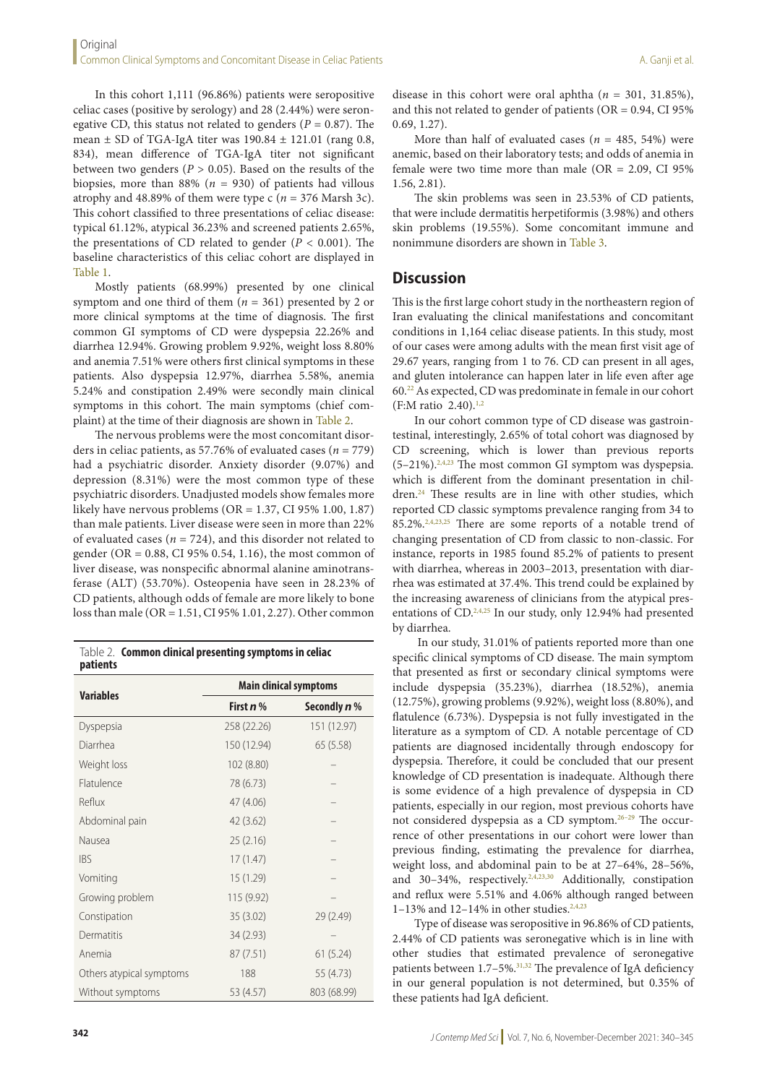In this cohort 1,111 (96.86%) patients were seropositive celiac cases (positive by serology) and 28 (2.44%) were seronegative CD, this status not related to genders  $(P = 0.87)$ . The mean  $\pm$  SD of TGA-IgA titer was 190.84  $\pm$  121.01 (rang 0.8, 834), mean difference of TGA-IgA titer not significant between two genders ( $P > 0.05$ ). Based on the results of the biopsies, more than 88% ( $n = 930$ ) of patients had villous atrophy and 48.89% of them were type  $c$  ( $n = 376$  Marsh 3c). This cohort classified to three presentations of celiac disease: typical 61.12%, atypical 36.23% and screened patients 2.65%, the presentations of CD related to gender (*P* < 0.001). The baseline characteristics of this celiac cohort are displayed in Table 1.

Mostly patients (68.99%) presented by one clinical symptom and one third of them (*n* = 361) presented by 2 or more clinical symptoms at the time of diagnosis. The first common GI symptoms of CD were dyspepsia 22.26% and diarrhea 12.94%. Growing problem 9.92%, weight loss 8.80% and anemia 7.51% were others first clinical symptoms in these patients. Also dyspepsia 12.97%, diarrhea 5.58%, anemia 5.24% and constipation 2.49% were secondly main clinical symptoms in this cohort. The main symptoms (chief complaint) at the time of their diagnosis are shown in Table 2.

The nervous problems were the most concomitant disorders in celiac patients, as 57.76% of evaluated cases (*n* = 779) had a psychiatric disorder. Anxiety disorder (9.07%) and depression (8.31%) were the most common type of these psychiatric disorders. Unadjusted models show females more likely have nervous problems (OR = 1.37, CI 95% 1.00, 1.87) than male patients. Liver disease were seen in more than 22% of evaluated cases ( $n = 724$ ), and this disorder not related to gender (OR = 0.88, CI 95% 0.54, 1.16), the most common of liver disease, was nonspecific abnormal alanine aminotransferase (ALT) (53.70%). Osteopenia have seen in 28.23% of CD patients, although odds of female are more likely to bone loss than male (OR = 1.51, CI 95% 1.01, 2.27). Other common

Table 2. **Common clinical presenting symptoms in celiac patients**

| <b>Variables</b>         | <b>Main clinical symptoms</b> |                     |  |
|--------------------------|-------------------------------|---------------------|--|
|                          | First $n$ %                   | Secondly <i>n</i> % |  |
| Dyspepsia                | 258 (22.26)                   | 151 (12.97)         |  |
| Diarrhea                 | 150 (12.94)                   | 65 (5.58)           |  |
| Weight loss              | 102 (8.80)                    |                     |  |
| Flatulence               | 78 (6.73)                     |                     |  |
| Reflux                   | 47 (4.06)                     |                     |  |
| Abdominal pain           | 42 (3.62)                     |                     |  |
| Nausea                   | 25(2.16)                      |                     |  |
| <b>IBS</b>               | 17(1.47)                      |                     |  |
| Vomiting                 | 15 (1.29)                     |                     |  |
| Growing problem          | 115 (9.92)                    |                     |  |
| Constipation             | 35(3.02)                      | 29 (2.49)           |  |
| Dermatitis               | 34 (2.93)                     |                     |  |
| Anemia                   | 87 (7.51)                     | 61(5.24)            |  |
| Others atypical symptoms | 188                           | 55 (4.73)           |  |
| Without symptoms         | 53 (4.57)                     | 803 (68.99)         |  |

More than half of evaluated cases ( $n = 485, 54\%$ ) were anemic, based on their laboratory tests; and odds of anemia in female were two time more than male ( $OR = 2.09$ ,  $CI 95%$ 1.56, 2.81).

The skin problems was seen in 23.53% of CD patients, that were include dermatitis herpetiformis (3.98%) and others skin problems (19.55%). Some concomitant immune and nonimmune disorders are shown in Table 3.

### **Discussion**

This is the first large cohort study in the northeastern region of Iran evaluating the clinical manifestations and concomitant conditions in 1,164 celiac disease patients. In this study, most of our cases were among adults with the mean first visit age of 29.67 years, ranging from 1 to 76. CD can present in all ages, and gluten intolerance can happen later in life even after age 60.22 As expected, CD was predominate in female in our cohort  $(F:M \text{ ratio } 2.40).^{1,2}$ 

In our cohort common type of CD disease was gastrointestinal, interestingly, 2.65% of total cohort was diagnosed by CD screening, which is lower than previous reports (5–21%).2,4,23 The most common GI symptom was dyspepsia. which is different from the dominant presentation in children.<sup>24</sup> These results are in line with other studies, which reported CD classic symptoms prevalence ranging from 34 to 85.2%.2,4,23,25 There are some reports of a notable trend of changing presentation of CD from classic to non-classic. For instance, reports in 1985 found 85.2% of patients to present with diarrhea, whereas in 2003–2013, presentation with diarrhea was estimated at 37.4%. This trend could be explained by the increasing awareness of clinicians from the atypical presentations of CD.2,4,25 In our study, only 12.94% had presented by diarrhea.

 In our study, 31.01% of patients reported more than one specific clinical symptoms of CD disease. The main symptom that presented as first or secondary clinical symptoms were include dyspepsia (35.23%), diarrhea (18.52%), anemia (12.75%), growing problems (9.92%), weight loss (8.80%), and flatulence (6.73%). Dyspepsia is not fully investigated in the literature as a symptom of CD. A notable percentage of CD patients are diagnosed incidentally through endoscopy for dyspepsia. Therefore, it could be concluded that our present knowledge of CD presentation is inadequate. Although there is some evidence of a high prevalence of dyspepsia in CD patients, especially in our region, most previous cohorts have not considered dyspepsia as a CD symptom.<sup>26-29</sup> The occurrence of other presentations in our cohort were lower than previous finding, estimating the prevalence for diarrhea, weight loss, and abdominal pain to be at 27–64%, 28–56%, and 30-34%, respectively.<sup>2,4,23,30</sup> Additionally, constipation and reflux were 5.51% and 4.06% although ranged between 1–13% and 12–14% in other studies.<sup>2,4,23</sup>

Type of disease was seropositive in 96.86% of CD patients, 2.44% of CD patients was seronegative which is in line with other studies that estimated prevalence of seronegative patients between 1.7–5%.<sup>31,32</sup> The prevalence of IgA deficiency in our general population is not determined, but 0.35% of these patients had IgA deficient.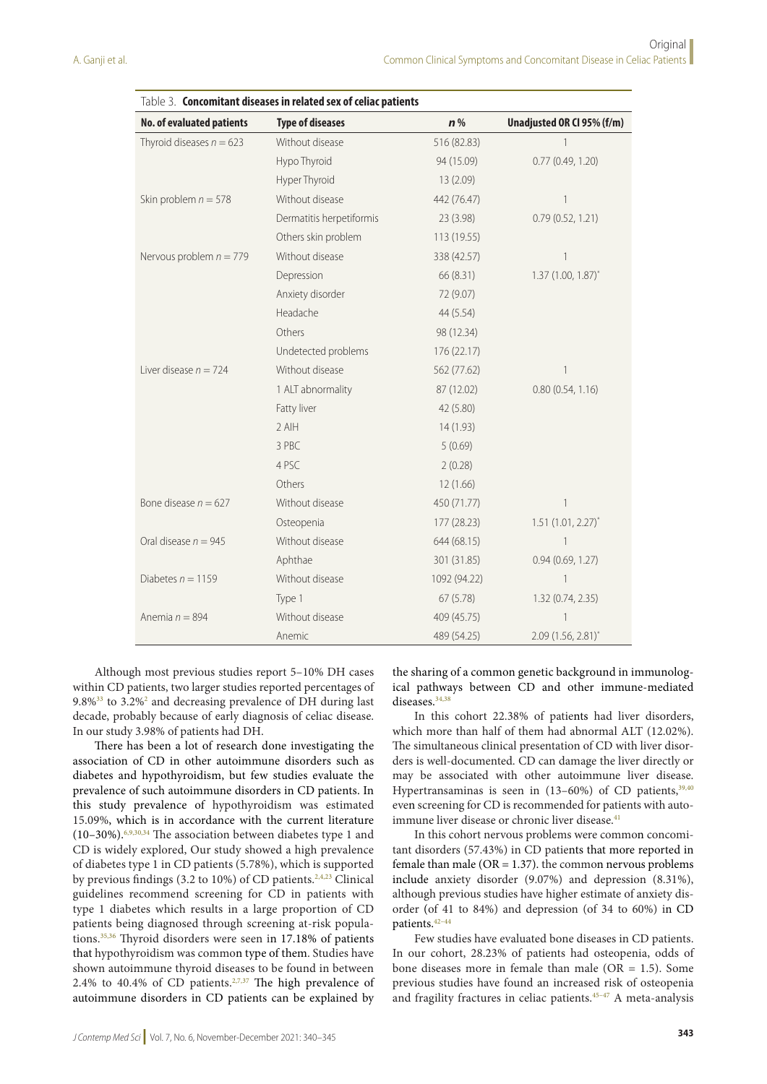| Table 3. Concomitant diseases in related sex of celiac patients |                          |              |                            |  |  |  |
|-----------------------------------------------------------------|--------------------------|--------------|----------------------------|--|--|--|
| No. of evaluated patients                                       | <b>Type of diseases</b>  | $n\%$        | Unadjusted OR CI 95% (f/m) |  |  |  |
| Thyroid diseases $n = 623$                                      | Without disease          | 516 (82.83)  | $\mathbf{1}$               |  |  |  |
|                                                                 | Hypo Thyroid             | 94 (15.09)   | 0.77(0.49, 1.20)           |  |  |  |
|                                                                 | Hyper Thyroid            | 13(2.09)     |                            |  |  |  |
| Skin problem $n = 578$                                          | Without disease          | 442 (76.47)  | $\mathbf{1}$               |  |  |  |
|                                                                 | Dermatitis herpetiformis | 23(3.98)     | 0.79(0.52, 1.21)           |  |  |  |
|                                                                 | Others skin problem      | 113 (19.55)  |                            |  |  |  |
| Nervous problem $n = 779$                                       | Without disease          | 338 (42.57)  | 1                          |  |  |  |
|                                                                 | Depression               | 66 (8.31)    | $1.37(1.00, 1.87)^{*}$     |  |  |  |
|                                                                 | Anxiety disorder         | 72 (9.07)    |                            |  |  |  |
|                                                                 | Headache                 | 44 (5.54)    |                            |  |  |  |
|                                                                 | Others                   | 98 (12.34)   |                            |  |  |  |
|                                                                 | Undetected problems      | 176 (22.17)  |                            |  |  |  |
| Liver disease $n = 724$                                         | Without disease          | 562 (77.62)  | 1                          |  |  |  |
|                                                                 | 1 ALT abnormality        | 87 (12.02)   | 0.80(0.54, 1.16)           |  |  |  |
|                                                                 | Fatty liver              | 42 (5.80)    |                            |  |  |  |
|                                                                 | 2 AIH                    | 14(1.93)     |                            |  |  |  |
|                                                                 | 3 PBC                    | 5(0.69)      |                            |  |  |  |
|                                                                 | 4 PSC                    | 2(0.28)      |                            |  |  |  |
|                                                                 | Others                   | 12(1.66)     |                            |  |  |  |
| Bone disease $n = 627$                                          | Without disease          | 450 (71.77)  | $\mathbf{1}$               |  |  |  |
|                                                                 | Osteopenia               | 177 (28.23)  | $1.51(1.01, 2.27)$ *       |  |  |  |
| Oral disease $n = 945$                                          | Without disease          | 644 (68.15)  | 1                          |  |  |  |
|                                                                 | Aphthae                  | 301 (31.85)  | 0.94(0.69, 1.27)           |  |  |  |
| Diabetes $n = 1159$                                             | Without disease          | 1092 (94.22) | $\mathbf{1}$               |  |  |  |
|                                                                 | Type 1                   | 67(5.78)     | 1.32 (0.74, 2.35)          |  |  |  |
| Anemia $n = 894$                                                | Without disease          | 409 (45.75)  | 1                          |  |  |  |
|                                                                 | Anemic                   | 489 (54.25)  | $2.09(1.56, 2.81)^{*}$     |  |  |  |

Although most previous studies report 5–10% DH cases within CD patients, two larger studies reported percentages of 9.8%<sup>33</sup> to 3.2%<sup>2</sup> and decreasing prevalence of DH during last decade, probably because of early diagnosis of celiac disease. In our study 3.98% of patients had DH.

There has been a lot of research done investigating the association of CD in other autoimmune disorders such as diabetes and hypothyroidism, but few studies evaluate the prevalence of such autoimmune disorders in CD patients. In this study prevalence of hypothyroidism was estimated 15.09%, which is in accordance with the current literature (10–30%).6,9,30,34 The association between diabetes type 1 and CD is widely explored, Our study showed a high prevalence of diabetes type 1 in CD patients (5.78%), which is supported by previous findings (3.2 to 10%) of CD patients.2,4,23 Clinical guidelines recommend screening for CD in patients with type 1 diabetes which results in a large proportion of CD patients being diagnosed through screening at-risk populations.<sup>35,36</sup> Thyroid disorders were seen in 17.18% of patients that hypothyroidism was common type of them. Studies have shown autoimmune thyroid diseases to be found in between 2.4% to 40.4% of CD patients.<sup>2,7,37</sup> The high prevalence of autoimmune disorders in CD patients can be explained by

the sharing of a common genetic background in immunological pathways between CD and other immune-mediated diseases.<sup>34,38</sup>

In this cohort 22.38% of patients had liver disorders, which more than half of them had abnormal ALT (12.02%). The simultaneous clinical presentation of CD with liver disorders is well-documented. CD can damage the liver directly or may be associated with other autoimmune liver disease. Hypertransaminas is seen in  $(13-60%)$  of CD patients,  $39,40$ even screening for CD is recommended for patients with autoimmune liver disease or chronic liver disease.<sup>41</sup>

In this cohort nervous problems were common concomitant disorders (57.43%) in CD patients that more reported in female than male ( $OR = 1.37$ ). the common nervous problems include anxiety disorder (9.07%) and depression (8.31%), although previous studies have higher estimate of anxiety disorder (of 41 to 84%) and depression (of 34 to 60%) in CD patients.42–44

Few studies have evaluated bone diseases in CD patients. In our cohort, 28.23% of patients had osteopenia, odds of bone diseases more in female than male  $(OR = 1.5)$ . Some previous studies have found an increased risk of osteopenia and fragility fractures in celiac patients.<sup>45-47</sup> A meta-analysis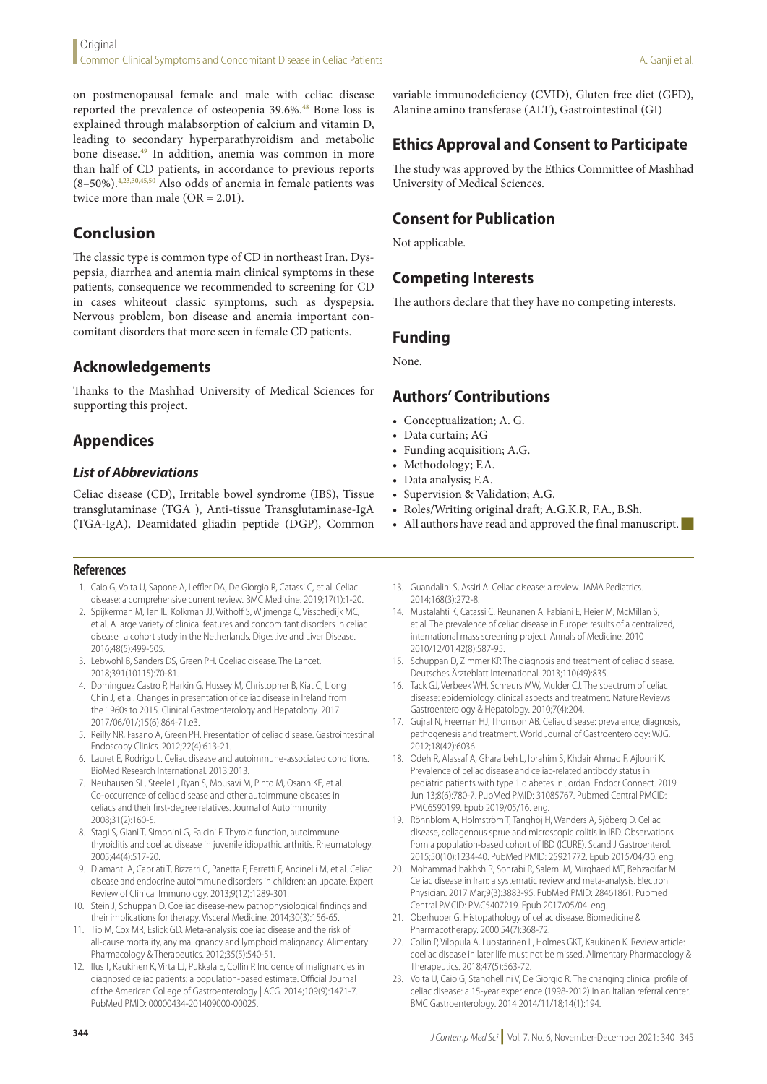on postmenopausal female and male with celiac disease reported the prevalence of osteopenia 39.6%.<sup>48</sup> Bone loss is explained through malabsorption of calcium and vitamin D, leading to secondary hyperparathyroidism and metabolic bone disease.49 In addition, anemia was common in more than half of CD patients, in accordance to previous reports (8–50%).4,23,30,45,50 Also odds of anemia in female patients was twice more than male (OR = 2.01).

## **Conclusion**

The classic type is common type of CD in northeast Iran. Dyspepsia, diarrhea and anemia main clinical symptoms in these patients, consequence we recommended to screening for CD in cases whiteout classic symptoms, such as dyspepsia. Nervous problem, bon disease and anemia important concomitant disorders that more seen in female CD patients.

### **Acknowledgements**

Thanks to the Mashhad University of Medical Sciences for supporting this project.

# **Appendices**

#### *List of Abbreviations*

Celiac disease (CD), Irritable bowel syndrome (IBS), Tissue transglutaminase (TGA ), Anti-tissue Transglutaminase-IgA (TGA-IgA), Deamidated gliadin peptide (DGP), Common

#### **References**

- 1. Caio G, Volta U, Sapone A, Leffler DA, De Giorgio R, Catassi C, et al. Celiac disease: a comprehensive current review. BMC Medicine. 2019;17(1):1-20.
- 2. Spijkerman M, Tan IL, Kolkman JJ, Withoff S, Wijmenga C, Visschedijk MC, et al. A large variety of clinical features and concomitant disorders in celiac disease–a cohort study in the Netherlands. Digestive and Liver Disease. 2016;48(5):499-505.
- 3. Lebwohl B, Sanders DS, Green PH. Coeliac disease. The Lancet. 2018;391(10115):70-81.
- 4. Dominguez Castro P, Harkin G, Hussey M, Christopher B, Kiat C, Liong Chin J, et al. Changes in presentation of celiac disease in Ireland from the 1960s to 2015. Clinical Gastroenterology and Hepatology. 2017 2017/06/01/;15(6):864-71.e3.
- 5. Reilly NR, Fasano A, Green PH. Presentation of celiac disease. Gastrointestinal Endoscopy Clinics. 2012;22(4):613-21.
- 6. Lauret E, Rodrigo L. Celiac disease and autoimmune-associated conditions. BioMed Research International. 2013;2013.
- 7. Neuhausen SL, Steele L, Ryan S, Mousavi M, Pinto M, Osann KE, et al. Co-occurrence of celiac disease and other autoimmune diseases in celiacs and their first-degree relatives. Journal of Autoimmunity. 2008;31(2):160-5.
- 8. Stagi S, Giani T, Simonini G, Falcini F. Thyroid function, autoimmune thyroiditis and coeliac disease in juvenile idiopathic arthritis. Rheumatology. 2005;44(4):517-20.
- 9. Diamanti A, Capriati T, Bizzarri C, Panetta F, Ferretti F, Ancinelli M, et al. Celiac disease and endocrine autoimmune disorders in children: an update. Expert Review of Clinical Immunology. 2013;9(12):1289-301.
- 10. Stein J, Schuppan D. Coeliac disease-new pathophysiological findings and their implications for therapy. Visceral Medicine. 2014;30(3):156-65.
- 11. Tio M, Cox MR, Eslick GD. Meta-analysis: coeliac disease and the risk of all-cause mortality, any malignancy and lymphoid malignancy. Alimentary Pharmacology & Therapeutics. 2012;35(5):540-51.
- 12. Ilus T, Kaukinen K, Virta LJ, Pukkala E, Collin P. Incidence of malignancies in diagnosed celiac patients: a population-based estimate. Official Journal of the American College of Gastroenterology | ACG. 2014;109(9):1471-7. PubMed PMID: 00000434-201409000-00025.

variable immunodeficiency (CVID), Gluten free diet (GFD), Alanine amino transferase (ALT), Gastrointestinal (GI)

# **Ethics Approval and Consent to Participate**

The study was approved by the Ethics Committee of Mashhad University of Medical Sciences.

# **Consent for Publication**

Not applicable.

# **Competing Interests**

The authors declare that they have no competing interests.

### **Funding**

None.

### **Authors' Contributions**

- Conceptualization; A. G.
- Data curtain; AG
- Funding acquisition; A.G.
- Methodology; F.A.
- Data analysis; F.A.
- Supervision & Validation; A.G.
- Roles/Writing original draft; A.G.K.R, F.A., B.Sh.
- All authors have read and approved the final manuscript.
- 13. Guandalini S, Assiri A. Celiac disease: a review. JAMA Pediatrics. 2014;168(3):272-8.
- 14. Mustalahti K, Catassi C, Reunanen A, Fabiani E, Heier M, McMillan S, et al. The prevalence of celiac disease in Europe: results of a centralized, international mass screening project. Annals of Medicine. 2010 2010/12/01;42(8):587-95.
- 15. Schuppan D, Zimmer KP. The diagnosis and treatment of celiac disease. Deutsches Ärzteblatt International. 2013;110(49):835.
- 16. Tack GJ, Verbeek WH, Schreurs MW, Mulder CJ. The spectrum of celiac disease: epidemiology, clinical aspects and treatment. Nature Reviews Gastroenterology & Hepatology. 2010;7(4):204.
- 17. Gujral N, Freeman HJ, Thomson AB. Celiac disease: prevalence, diagnosis, pathogenesis and treatment. World Journal of Gastroenterology: WJG. 2012;18(42):6036.
- 18. Odeh R, Alassaf A, Gharaibeh L, Ibrahim S, Khdair Ahmad F, Ajlouni K. Prevalence of celiac disease and celiac-related antibody status in pediatric patients with type 1 diabetes in Jordan. Endocr Connect. 2019 Jun 13;8(6):780-7. PubMed PMID: 31085767. Pubmed Central PMCID: PMC6590199. Epub 2019/05/16. eng.
- 19. Rönnblom A, Holmström T, Tanghöj H, Wanders A, Sjöberg D. Celiac disease, collagenous sprue and microscopic colitis in IBD. Observations from a population-based cohort of IBD (ICURE). Scand J Gastroenterol. 2015;50(10):1234-40. PubMed PMID: 25921772. Epub 2015/04/30. eng.
- 20. Mohammadibakhsh R, Sohrabi R, Salemi M, Mirghaed MT, Behzadifar M. Celiac disease in Iran: a systematic review and meta-analysis. Electron Physician. 2017 Mar;9(3):3883-95. PubMed PMID: 28461861. Pubmed Central PMCID: PMC5407219. Epub 2017/05/04. eng.
- 21. Oberhuber G. Histopathology of celiac disease. Biomedicine & Pharmacotherapy. 2000;54(7):368-72.
- 22. Collin P, Vilppula A, Luostarinen L, Holmes GKT, Kaukinen K. Review article: coeliac disease in later life must not be missed. Alimentary Pharmacology & Therapeutics. 2018;47(5):563-72.
- 23. Volta U, Caio G, Stanghellini V, De Giorgio R. The changing clinical profile of celiac disease: a 15-year experience (1998-2012) in an Italian referral center. BMC Gastroenterology. 2014 2014/11/18;14(1):194.